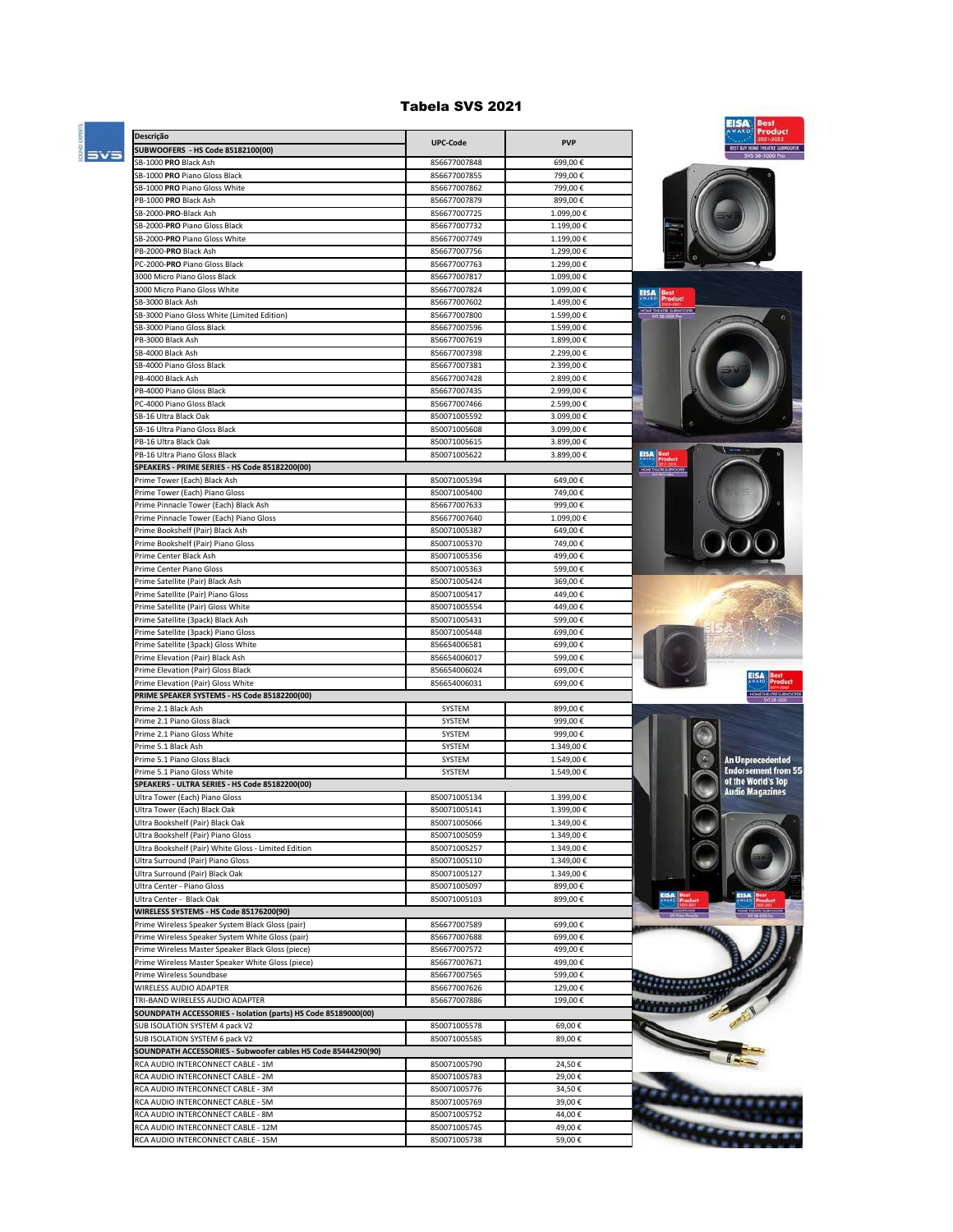## Tabela SVS 2021

a.

÷



|                                                                                                      |                              |                        | EISA<br>lest<br>AWARD<br><b>Product</b> |
|------------------------------------------------------------------------------------------------------|------------------------------|------------------------|-----------------------------------------|
| Descrição<br>SUBWOOFERS - HS Code 85182100(00)                                                       | <b>UPC-Code</b>              | <b>PVP</b>             | BEST BUY HOWE THEATRE SUBWOOFER         |
| SB-1000 PRO Black Ash                                                                                | 856677007848                 | 699,00€                | SVS 58-1000 P                           |
| SB-1000 PRO Piano Gloss Black                                                                        | 856677007855                 | 799,00€                |                                         |
| SB-1000 PRO Piano Gloss White                                                                        | 856677007862                 | 799,00€                |                                         |
| PB-1000 PRO Black Ash                                                                                | 856677007879                 | 899,00€                |                                         |
| SB-2000-PRO-Black Ash                                                                                | 856677007725                 | 1.099,00€              |                                         |
| SB-2000-PRO Piano Gloss Black                                                                        | 856677007732                 | 1.199,00€              |                                         |
| SB-2000-PRO Piano Gloss White                                                                        | 856677007749                 | 1.199,00€              |                                         |
| PB-2000-PRO Black Ash                                                                                | 856677007756                 | 1.299,00€              |                                         |
| PC-2000-PRO Piano Gloss Black                                                                        | 856677007763<br>856677007817 | 1.299,00€<br>1.099,00€ |                                         |
| 3000 Micro Piano Gloss Black<br>3000 Micro Piano Gloss White                                         | 856677007824                 | 1.099,00€              |                                         |
| SB-3000 Black Ash                                                                                    | 856677007602                 | 1.499,00€              | <b>EISA</b>                             |
| SB-3000 Piano Gloss White (Limited Edition)                                                          | 856677007800                 | 1.599,00€              | HOWE THEATRE SUBWOOPER                  |
| SB-3000 Piano Gloss Black                                                                            | 856677007596                 | 1.599,00€              |                                         |
| PB-3000 Black Ash                                                                                    | 856677007619                 | 1.899,00€              |                                         |
| SB-4000 Black Ash                                                                                    | 856677007398                 | 2.299,00€              |                                         |
| SB-4000 Piano Gloss Black                                                                            | 856677007381                 | 2.399,00€              |                                         |
| PB-4000 Black Ash                                                                                    | 856677007428                 | 2.899,00€              |                                         |
| PB-4000 Piano Gloss Black                                                                            | 856677007435                 | 2.999,00€              |                                         |
| PC-4000 Piano Gloss Black                                                                            | 856677007466                 | 2.599,00€              |                                         |
| SB-16 Ultra Black Oak<br>SB-16 Ultra Piano Gloss Black                                               | 850071005592<br>850071005608 | 3.099,00€<br>3.099,00€ |                                         |
| PB-16 Ultra Black Oak                                                                                | 850071005615                 | 3.899,00€              |                                         |
| PB-16 Ultra Piano Gloss Black                                                                        | 850071005622                 | 3.899.00€              | $\frac{E}{2}$                           |
| SPEAKERS - PRIME SERIES - HS Code 85182200(00)                                                       |                              |                        | HOAS THATELY REMODER                    |
| Prime Tower (Each) Black Ash                                                                         | 850071005394                 | 649,00€                |                                         |
| Prime Tower (Each) Piano Gloss                                                                       | 850071005400                 | 749,00€                |                                         |
| Prime Pinnacle Tower (Each) Black Ash                                                                | 856677007633                 | 999,00€                |                                         |
| Prime Pinnacle Tower (Each) Piano Gloss                                                              | 856677007640                 | 1.099,00€              |                                         |
| Prime Bookshelf (Pair) Black Ash                                                                     | 850071005387                 | 649,00€                |                                         |
| Prime Bookshelf (Pair) Piano Gloss                                                                   | 850071005370                 | 749,00€                |                                         |
| Prime Center Black Ash                                                                               | 850071005356                 | 499,00€                |                                         |
| Prime Center Piano Gloss                                                                             | 850071005363                 | 599,00€                |                                         |
| Prime Satellite (Pair) Black Ash                                                                     | 850071005424                 | 369,00€                |                                         |
| Prime Satellite (Pair) Piano Gloss                                                                   | 850071005417                 | 449,00€<br>449,00€     |                                         |
| Prime Satellite (Pair) Gloss White<br>Prime Satellite (3pack) Black Ash                              | 850071005554<br>850071005431 | 599,00€                |                                         |
| Prime Satellite (3pack) Piano Gloss                                                                  | 850071005448                 | 699,00€                |                                         |
| Prime Satellite (3pack) Gloss White                                                                  | 856654006581                 | 699,00€                |                                         |
| Prime Elevation (Pair) Black Ash                                                                     | 856654006017                 | 599,00€                |                                         |
| Prime Elevation (Pair) Gloss Black                                                                   | 856654006024                 | 699,00€                |                                         |
| Prime Elevation (Pair) Gloss White                                                                   | 856654006031                 | 699,00€                | EISA                                    |
| PRIME SPEAKER SYSTEMS - HS Code 85182200(00)                                                         |                              |                        | HOKE THEATHE SUBWOORT                   |
| Prime 2.1 Black Ash                                                                                  | SYSTEM                       | 899,00€                |                                         |
| Prime 2.1 Piano Gloss Black                                                                          | SYSTEM                       | 999,00€                |                                         |
| Prime 2.1 Piano Gloss White<br>Prime 5.1 Black Ash                                                   | SYSTEM                       | 999,00€                |                                         |
|                                                                                                      | SYSTEM                       | 1.349,00€<br>1.549,00€ | An Unprecedented                        |
| Prime 5.1 Piano Gloss Black<br>Prime 5.1 Piano Gloss White                                           | SYSTEM<br>SYSTEM             | 1.549,00€              | <b>Endorsement from 55</b>              |
| SPEAKERS - ULTRA SERIES - HS Code 85182200(00)                                                       |                              |                        | of the World's Top                      |
| Ultra Tower (Each) Piano Gloss                                                                       | 850071005134                 | 1.399,00€              | <b>Audio Magazines</b>                  |
| Ultra Tower (Each) Black Oak                                                                         | 850071005141                 | 1.399,00€              |                                         |
| Ultra Bookshelf (Pair) Black Oak                                                                     | 850071005066                 | 1.349,00€              |                                         |
| Ultra Bookshelf (Pair) Piano Gloss                                                                   | 850071005059                 | 1.349,00€              |                                         |
| Ultra Bookshelf (Pair) White Gloss - Limited Edition                                                 | 850071005257                 | 1.349,00€              |                                         |
| Ultra Surround (Pair) Piano Gloss                                                                    | 850071005110                 | 1.349,00€              |                                         |
| Ultra Surround (Pair) Black Oak                                                                      | 850071005127                 | 1.349,00€              |                                         |
| Ultra Center - Piano Gloss                                                                           | 850071005097                 | 899,00€                |                                         |
| Ultra Center - Black Oak                                                                             | 850071005103                 | 899,00€                |                                         |
| WIRELESS SYSTEMS - HS Code 85176200(90)                                                              | 856677007589                 | 699,00€                |                                         |
| Prime Wireless Speaker System Black Gloss (pair)<br>Prime Wireless Speaker System White Gloss (pair) | 856677007688                 | 699,00€                |                                         |
| Prime Wireless Master Speaker Black Gloss (piece)                                                    | 856677007572                 | 499,00€                |                                         |
| Prime Wireless Master Speaker White Gloss (piece)                                                    | 856677007671                 | 499,00€                |                                         |
| Prime Wireless Soundbase                                                                             | 856677007565                 | 599,00€                |                                         |
| WIRELESS AUDIO ADAPTER                                                                               | 856677007626                 | 129,00€                |                                         |
| TRI-BAND WIRELESS AUDIO ADAPTER                                                                      | 856677007886                 | 199,00€                |                                         |
| SOUNDPATH ACCESSORIES - Isolation (parts) HS Code 85189000(00)                                       |                              |                        |                                         |
| SUB ISOLATION SYSTEM 4 pack V2                                                                       | 850071005578                 | 69,00€                 |                                         |
| SUB ISOLATION SYSTEM 6 pack V2                                                                       | 850071005585                 | 89,00€                 |                                         |
| SOUNDPATH ACCESSORIES - Subwoofer cables HS Code 85444290(90)                                        |                              |                        |                                         |
| RCA AUDIO INTERCONNECT CABLE - 1M                                                                    | 850071005790                 | 24,50€                 |                                         |
| RCA AUDIO INTERCONNECT CABLE - 2M                                                                    | 850071005783                 | 29,00€                 |                                         |
| RCA AUDIO INTERCONNECT CABLE - 3M<br>RCA AUDIO INTERCONNECT CABLE - 5M                               | 850071005776<br>850071005769 | 34,50€<br>39,00€       |                                         |
| RCA AUDIO INTERCONNECT CABLE - 8M                                                                    | 850071005752                 | 44,00€                 |                                         |
| RCA AUDIO INTERCONNECT CABLE - 12M                                                                   | 850071005745                 | 49,00€                 |                                         |
| RCA AUDIO INTERCONNECT CABLE - 15M                                                                   | 850071005738                 | 59,00€                 |                                         |
|                                                                                                      |                              |                        |                                         |